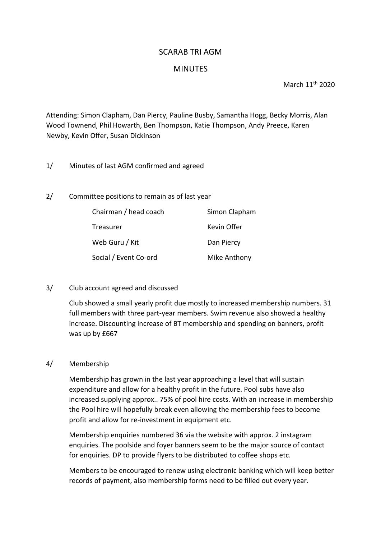## SCARAB TRI AGM

## **MINUTES**

March 11th 2020

Attending: Simon Clapham, Dan Piercy, Pauline Busby, Samantha Hogg, Becky Morris, Alan Wood Townend, Phil Howarth, Ben Thompson, Katie Thompson, Andy Preece, Karen Newby, Kevin Offer, Susan Dickinson

- 1/ Minutes of last AGM confirmed and agreed
- 2/ Committee positions to remain as of last year

| Chairman / head coach | Simon Clapham |
|-----------------------|---------------|
| Treasurer             | Kevin Offer   |
| Web Guru / Kit        | Dan Piercy    |
| Social / Event Co-ord | Mike Anthony  |

3/ Club account agreed and discussed

Club showed a small yearly profit due mostly to increased membership numbers. 31 full members with three part-year members. Swim revenue also showed a healthy increase. Discounting increase of BT membership and spending on banners, profit was up by £667

4/ Membership

Membership has grown in the last year approaching a level that will sustain expenditure and allow for a healthy profit in the future. Pool subs have also increased supplying approx.. 75% of pool hire costs. With an increase in membership the Pool hire will hopefully break even allowing the membership fees to become profit and allow for re-investment in equipment etc.

Membership enquiries numbered 36 via the website with approx. 2 instagram enquiries. The poolside and foyer banners seem to be the major source of contact for enquiries. DP to provide flyers to be distributed to coffee shops etc.

Members to be encouraged to renew using electronic banking which will keep better records of payment, also membership forms need to be filled out every year.